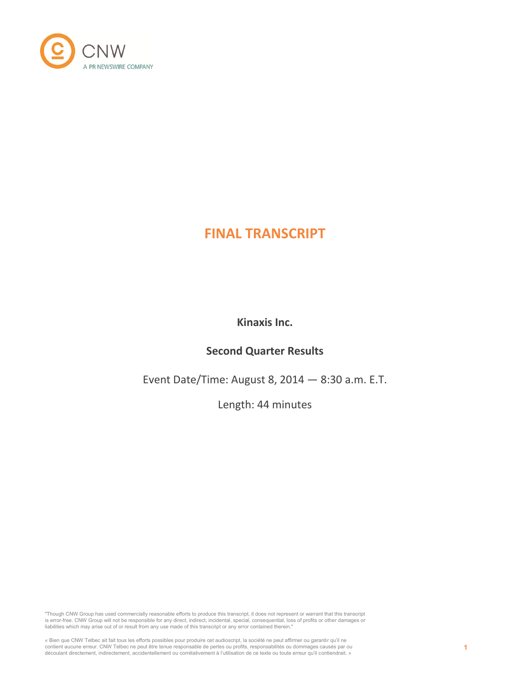

# **FINAL TRANSCRIPT**

**Kinaxis Inc.**

# **Second Quarter Results**

Event Date/Time: August 8, 2014 — 8:30 a.m. E.T.

Length: 44 minutes

"Though CNW Group has used commercially reasonable efforts to produce this transcript, it does not represent or warrant that this transcript is error-free. CNW Group will not be responsible for any direct, indirect, incidental, special, consequential, loss of profits or other damages or<br>liabilities which may arise out of or result from any use made of this tran

« Bien que CNW Telbec ait fait tous les efforts possibles pour produire cet audioscript, la société ne peut affirmer ou garantir qu'il ne<br>contient aucune erreur. CNW Telbec ne peut être tenue responsable de pertes ou profi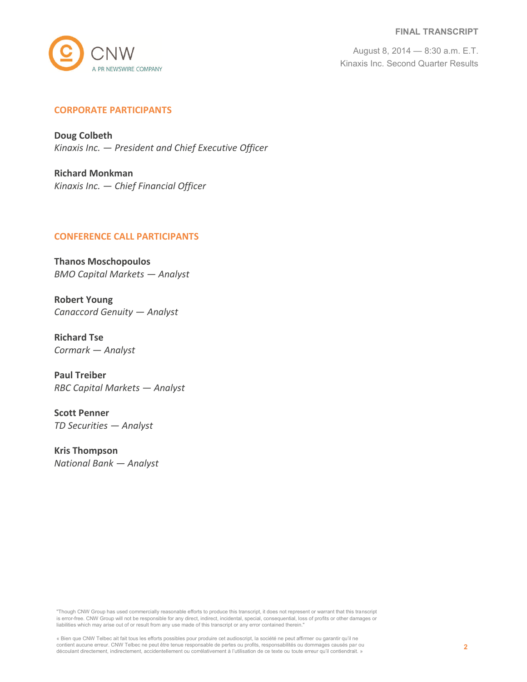#### **FINAL TRANSCRIPT**



August 8, 2014 — 8:30 a.m. E.T. Kinaxis Inc. Second Quarter Results

# **CORPORATE PARTICIPANTS**

**Doug Colbeth** *Kinaxis Inc. — President and Chief Executive Officer*

**Richard Monkman** *Kinaxis Inc. — Chief Financial Officer*

#### **CONFERENCE CALL PARTICIPANTS**

**Thanos Moschopoulos** *BMO Capital Markets — Analyst*

**Robert Young** *Canaccord Genuity — Analyst*

**Richard Tse** *Cormark — Analyst*

**Paul Treiber** *RBC Capital Markets — Analyst*

**Scott Penner** *TD Securities — Analyst*

**Kris Thompson** *National Bank — Analyst*

"Though CNW Group has used commercially reasonable efforts to produce this transcript, it does not represent or warrant that this transcript is error-free. CNW Group will not be responsible for any direct, indirect, incidental, special, consequential, loss of profits or other damages or liabilities which may arise out of or result from any use made of this transcript or any error contained therein."

« Bien que CNW Telbec ait fait tous les efforts possibles pour produire cet audioscript, la société ne peut affirmer ou garantir qu'il ne contient aucune erreur. CNW Telbec ne peut être tenue responsable de pertes ou profits, responsabilités ou dommages causés par ou découlant directement, indirectement, accidentellement ou corrélativement à l'utilisation de ce texte ou toute erreur qu'il contiendrait. »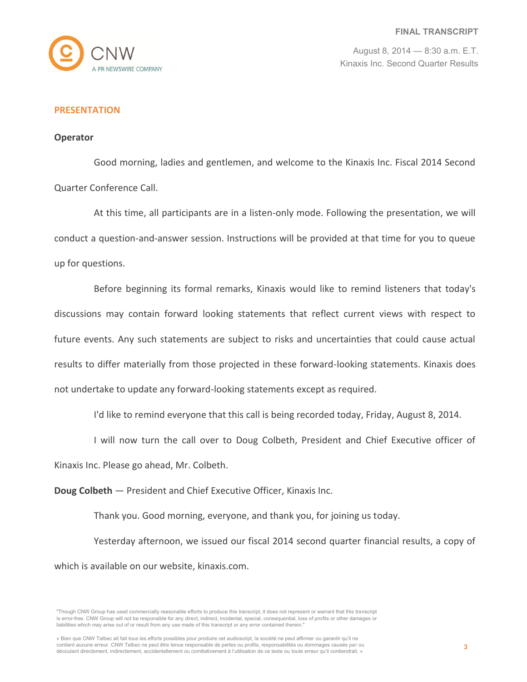

# **PRESENTATION**

#### **Operator**

Good morning, ladies and gentlemen, and welcome to the Kinaxis Inc. Fiscal 2014 Second Quarter Conference Call.

At this time, all participants are in a listen-only mode. Following the presentation, we will conduct a question-and-answer session. Instructions will be provided at that time for you to queue up for questions.

Before beginning its formal remarks, Kinaxis would like to remind listeners that today's discussions may contain forward looking statements that reflect current views with respect to future events. Any such statements are subject to risks and uncertainties that could cause actual results to differ materially from those projected in these forward-looking statements. Kinaxis does not undertake to update any forward-looking statements except as required.

I'd like to remind everyone that this call is being recorded today, Friday, August 8, 2014.

I will now turn the call over to Doug Colbeth, President and Chief Executive officer of

Kinaxis Inc. Please go ahead, Mr. Colbeth.

**Doug Colbeth** — President and Chief Executive Officer, Kinaxis Inc.

Thank you. Good morning, everyone, and thank you, for joining us today.

Yesterday afternoon, we issued our fiscal 2014 second quarter financial results, a copy of which is available on our website, kinaxis.com.

<sup>&</sup>quot;Though CNW Group has used commercially reasonable efforts to produce this transcript, it does not represent or warrant that this transcript is error-free. CNW Group will not be responsible for any direct, indirect, incidental, special, consequential, loss of profits or other damages or liabilities which may arise out of or result from any use made of this transcript or any error contained therein."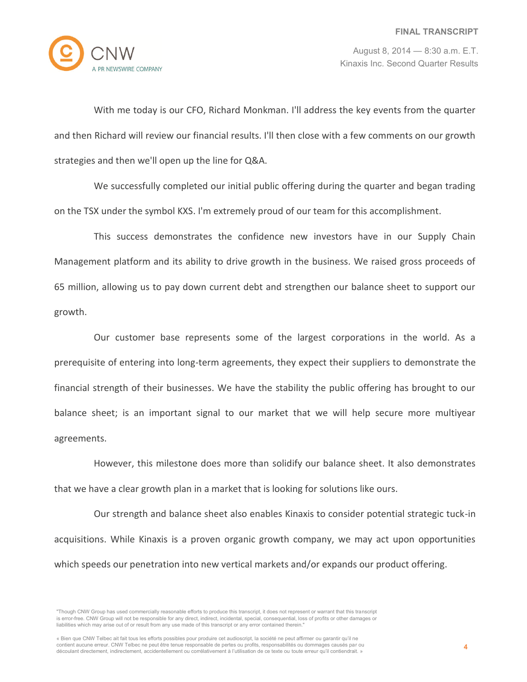

With me today is our CFO, Richard Monkman. I'll address the key events from the quarter and then Richard will review our financial results. I'll then close with a few comments on our growth strategies and then we'll open up the line for Q&A.

We successfully completed our initial public offering during the quarter and began trading on the TSX under the symbol KXS. I'm extremely proud of our team for this accomplishment.

This success demonstrates the confidence new investors have in our Supply Chain Management platform and its ability to drive growth in the business. We raised gross proceeds of 65 million, allowing us to pay down current debt and strengthen our balance sheet to support our growth.

Our customer base represents some of the largest corporations in the world. As a prerequisite of entering into long-term agreements, they expect their suppliers to demonstrate the financial strength of their businesses. We have the stability the public offering has brought to our balance sheet; is an important signal to our market that we will help secure more multiyear agreements.

However, this milestone does more than solidify our balance sheet. It also demonstrates that we have a clear growth plan in a market that is looking for solutions like ours.

Our strength and balance sheet also enables Kinaxis to consider potential strategic tuck-in acquisitions. While Kinaxis is a proven organic growth company, we may act upon opportunities which speeds our penetration into new vertical markets and/or expands our product offering.

<sup>&</sup>quot;Though CNW Group has used commercially reasonable efforts to produce this transcript, it does not represent or warrant that this transcript is error-free. CNW Group will not be responsible for any direct, indirect, incidental, special, consequential, loss of profits or other damages or liabilities which may arise out of or result from any use made of this transcript or any error contained therein."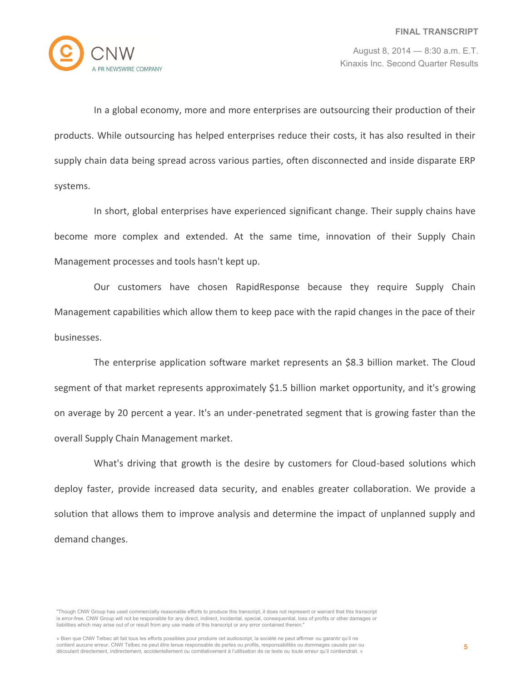

In a global economy, more and more enterprises are outsourcing their production of their products. While outsourcing has helped enterprises reduce their costs, it has also resulted in their supply chain data being spread across various parties, often disconnected and inside disparate ERP systems.

In short, global enterprises have experienced significant change. Their supply chains have become more complex and extended. At the same time, innovation of their Supply Chain Management processes and tools hasn't kept up.

Our customers have chosen RapidResponse because they require Supply Chain Management capabilities which allow them to keep pace with the rapid changes in the pace of their businesses.

The enterprise application software market represents an \$8.3 billion market. The Cloud segment of that market represents approximately \$1.5 billion market opportunity, and it's growing on average by 20 percent a year. It's an under-penetrated segment that is growing faster than the overall Supply Chain Management market.

What's driving that growth is the desire by customers for Cloud-based solutions which deploy faster, provide increased data security, and enables greater collaboration. We provide a solution that allows them to improve analysis and determine the impact of unplanned supply and demand changes.

<sup>&</sup>quot;Though CNW Group has used commercially reasonable efforts to produce this transcript, it does not represent or warrant that this transcript is error-free. CNW Group will not be responsible for any direct, indirect, incidental, special, consequential, loss of profits or other damages or liabilities which may arise out of or result from any use made of this transcript or any error contained therein."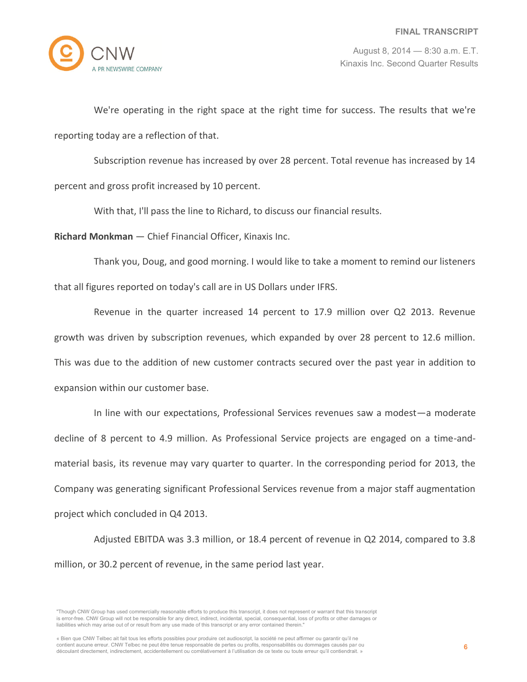

We're operating in the right space at the right time for success. The results that we're reporting today are a reflection of that.

Subscription revenue has increased by over 28 percent. Total revenue has increased by 14 percent and gross profit increased by 10 percent.

With that, I'll pass the line to Richard, to discuss our financial results.

**Richard Monkman** — Chief Financial Officer, Kinaxis Inc.

Thank you, Doug, and good morning. I would like to take a moment to remind our listeners that all figures reported on today's call are in US Dollars under IFRS.

Revenue in the quarter increased 14 percent to 17.9 million over Q2 2013. Revenue growth was driven by subscription revenues, which expanded by over 28 percent to 12.6 million. This was due to the addition of new customer contracts secured over the past year in addition to expansion within our customer base.

In line with our expectations, Professional Services revenues saw a modest—a moderate decline of 8 percent to 4.9 million. As Professional Service projects are engaged on a time-andmaterial basis, its revenue may vary quarter to quarter. In the corresponding period for 2013, the Company was generating significant Professional Services revenue from a major staff augmentation project which concluded in Q4 2013.

Adjusted EBITDA was 3.3 million, or 18.4 percent of revenue in Q2 2014, compared to 3.8 million, or 30.2 percent of revenue, in the same period last year.

<sup>&</sup>quot;Though CNW Group has used commercially reasonable efforts to produce this transcript, it does not represent or warrant that this transcript is error-free. CNW Group will not be responsible for any direct, indirect, incidental, special, consequential, loss of profits or other damages or liabilities which may arise out of or result from any use made of this transcript or any error contained therein."

<sup>«</sup> Bien que CNW Telbec ait fait tous les efforts possibles pour produire cet audioscript, la société ne peut affirmer ou garantir qu'il ne contient aucune erreur. CNW Telbec ne peut être tenue responsable de pertes ou profits, responsabilités ou dommages causés par ou découlant directement, indirectement, accidentellement ou corrélativement à l'utilisation de ce texte ou toute erreur qu'il contiendrait. »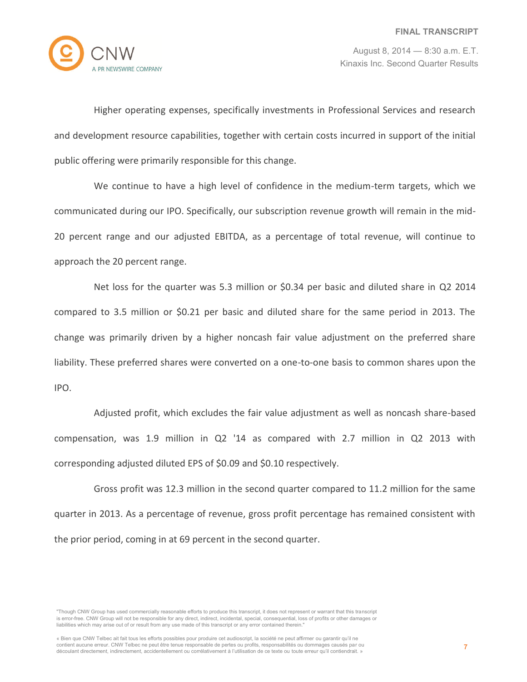

Higher operating expenses, specifically investments in Professional Services and research and development resource capabilities, together with certain costs incurred in support of the initial public offering were primarily responsible for this change.

We continue to have a high level of confidence in the medium-term targets, which we communicated during our IPO. Specifically, our subscription revenue growth will remain in the mid-20 percent range and our adjusted EBITDA, as a percentage of total revenue, will continue to approach the 20 percent range.

Net loss for the quarter was 5.3 million or \$0.34 per basic and diluted share in Q2 2014 compared to 3.5 million or \$0.21 per basic and diluted share for the same period in 2013. The change was primarily driven by a higher noncash fair value adjustment on the preferred share liability. These preferred shares were converted on a one-to-one basis to common shares upon the IPO.

Adjusted profit, which excludes the fair value adjustment as well as noncash share-based compensation, was 1.9 million in Q2 '14 as compared with 2.7 million in Q2 2013 with corresponding adjusted diluted EPS of \$0.09 and \$0.10 respectively.

Gross profit was 12.3 million in the second quarter compared to 11.2 million for the same quarter in 2013. As a percentage of revenue, gross profit percentage has remained consistent with the prior period, coming in at 69 percent in the second quarter.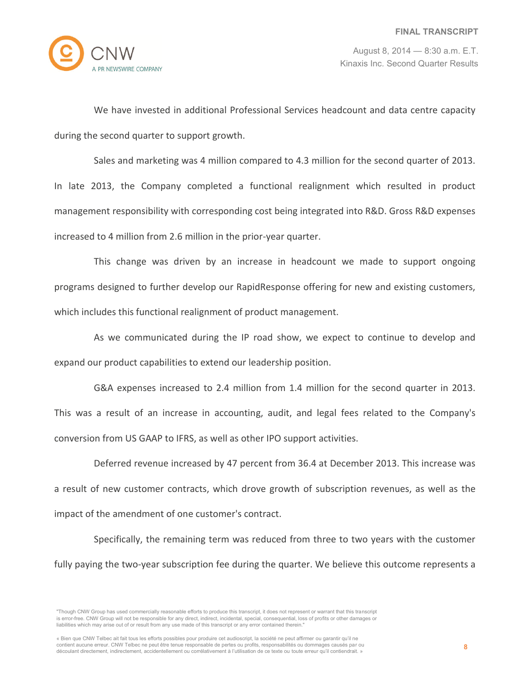

We have invested in additional Professional Services headcount and data centre capacity during the second quarter to support growth.

Sales and marketing was 4 million compared to 4.3 million for the second quarter of 2013. In late 2013, the Company completed a functional realignment which resulted in product management responsibility with corresponding cost being integrated into R&D. Gross R&D expenses increased to 4 million from 2.6 million in the prior-year quarter.

This change was driven by an increase in headcount we made to support ongoing programs designed to further develop our RapidResponse offering for new and existing customers, which includes this functional realignment of product management.

As we communicated during the IP road show, we expect to continue to develop and expand our product capabilities to extend our leadership position.

G&A expenses increased to 2.4 million from 1.4 million for the second quarter in 2013. This was a result of an increase in accounting, audit, and legal fees related to the Company's conversion from US GAAP to IFRS, as well as other IPO support activities.

Deferred revenue increased by 47 percent from 36.4 at December 2013. This increase was a result of new customer contracts, which drove growth of subscription revenues, as well as the impact of the amendment of one customer's contract.

Specifically, the remaining term was reduced from three to two years with the customer fully paying the two-year subscription fee during the quarter. We believe this outcome represents a

<sup>&</sup>quot;Though CNW Group has used commercially reasonable efforts to produce this transcript, it does not represent or warrant that this transcript is error-free. CNW Group will not be responsible for any direct, indirect, incidental, special, consequential, loss of profits or other damages or liabilities which may arise out of or result from any use made of this transcript or any error contained therein."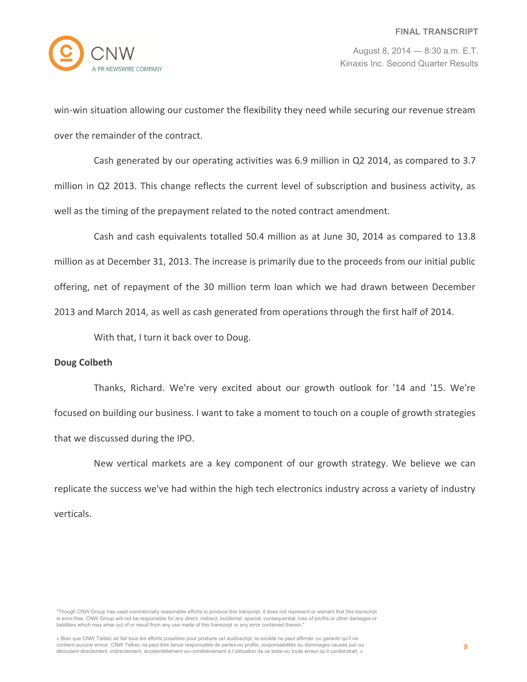

win-win situation allowing our customer the flexibility they need while securing our revenue stream over the remainder of the contract.

Cash generated by our operating activities was 6.9 million in Q2 2014, as compared to 3.7 million in Q2 2013. This change reflects the current level of subscription and business activity, as well as the timing of the prepayment related to the noted contract amendment.

Cash and cash equivalents totalled 50.4 million as at June 30, 2014 as compared to 13.8 million as at December 31, 2013. The increase is primarily due to the proceeds from our initial public offering, net of repayment of the 30 million term loan which we had drawn between December 2013 and March 2014, as well as cash generated from operations through the first half of 2014.

With that, I turn it back over to Doug.

# **Doug Colbeth**

Thanks, Richard. We're very excited about our growth outlook for '14 and '15. We're focused on building our business. I want to take a moment to touch on a couple of growth strategies that we discussed during the IPO.

New vertical markets are a key component of our growth strategy. We believe we can replicate the success we've had within the high tech electronics industry across a variety of industry verticals.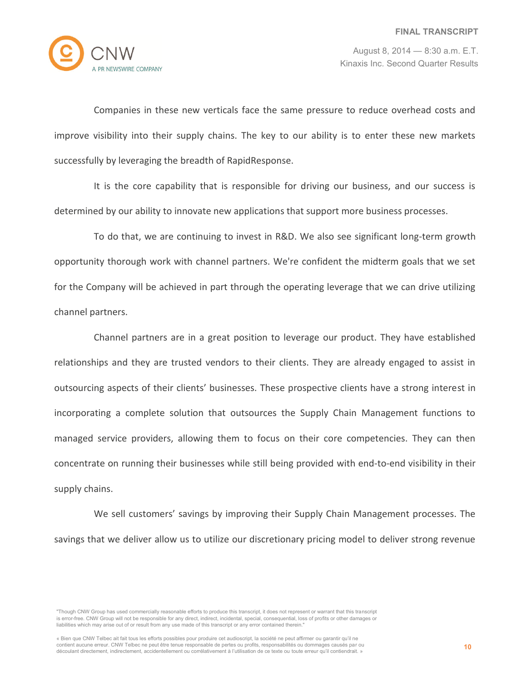

Companies in these new verticals face the same pressure to reduce overhead costs and improve visibility into their supply chains. The key to our ability is to enter these new markets successfully by leveraging the breadth of RapidResponse.

It is the core capability that is responsible for driving our business, and our success is determined by our ability to innovate new applications that support more business processes.

To do that, we are continuing to invest in R&D. We also see significant long-term growth opportunity thorough work with channel partners. We're confident the midterm goals that we set for the Company will be achieved in part through the operating leverage that we can drive utilizing channel partners.

Channel partners are in a great position to leverage our product. They have established relationships and they are trusted vendors to their clients. They are already engaged to assist in outsourcing aspects of their clients' businesses. These prospective clients have a strong interest in incorporating a complete solution that outsources the Supply Chain Management functions to managed service providers, allowing them to focus on their core competencies. They can then concentrate on running their businesses while still being provided with end-to-end visibility in their supply chains.

We sell customers' savings by improving their Supply Chain Management processes. The savings that we deliver allow us to utilize our discretionary pricing model to deliver strong revenue

<sup>&</sup>quot;Though CNW Group has used commercially reasonable efforts to produce this transcript, it does not represent or warrant that this transcript is error-free. CNW Group will not be responsible for any direct, indirect, incidental, special, consequential, loss of profits or other damages or liabilities which may arise out of or result from any use made of this transcript or any error contained therein."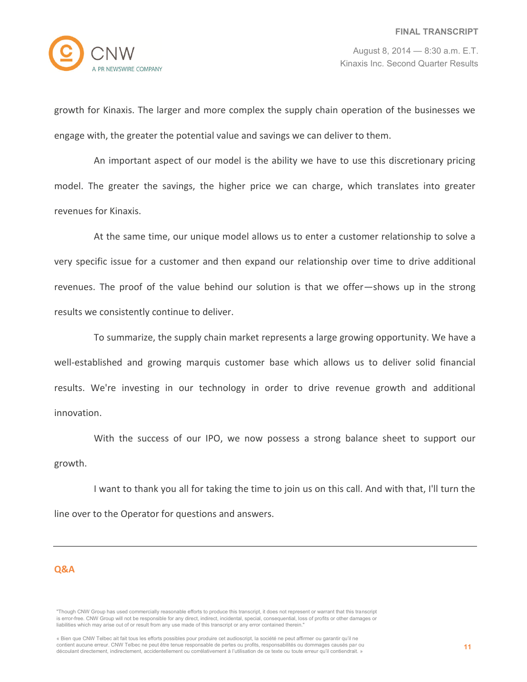

growth for Kinaxis. The larger and more complex the supply chain operation of the businesses we engage with, the greater the potential value and savings we can deliver to them.

An important aspect of our model is the ability we have to use this discretionary pricing model. The greater the savings, the higher price we can charge, which translates into greater revenues for Kinaxis.

At the same time, our unique model allows us to enter a customer relationship to solve a very specific issue for a customer and then expand our relationship over time to drive additional revenues. The proof of the value behind our solution is that we offer—shows up in the strong results we consistently continue to deliver.

To summarize, the supply chain market represents a large growing opportunity. We have a well-established and growing marquis customer base which allows us to deliver solid financial results. We're investing in our technology in order to drive revenue growth and additional innovation.

With the success of our IPO, we now possess a strong balance sheet to support our growth.

I want to thank you all for taking the time to join us on this call. And with that, I'll turn the line over to the Operator for questions and answers.

# **Q&A**

<sup>&</sup>quot;Though CNW Group has used commercially reasonable efforts to produce this transcript, it does not represent or warrant that this transcript is error-free. CNW Group will not be responsible for any direct, indirect, incidental, special, consequential, loss of profits or other damages or liabilities which may arise out of or result from any use made of this transcript or any error contained therein."

<sup>«</sup> Bien que CNW Telbec ait fait tous les efforts possibles pour produire cet audioscript, la société ne peut affirmer ou garantir qu'il ne contient aucune erreur. CNW Telbec ne peut être tenue responsable de pertes ou profits, responsabilités ou dommages causés par ou découlant directement, indirectement, accidentellement ou corrélativement à l'utilisation de ce texte ou toute erreur qu'il contiendrait. »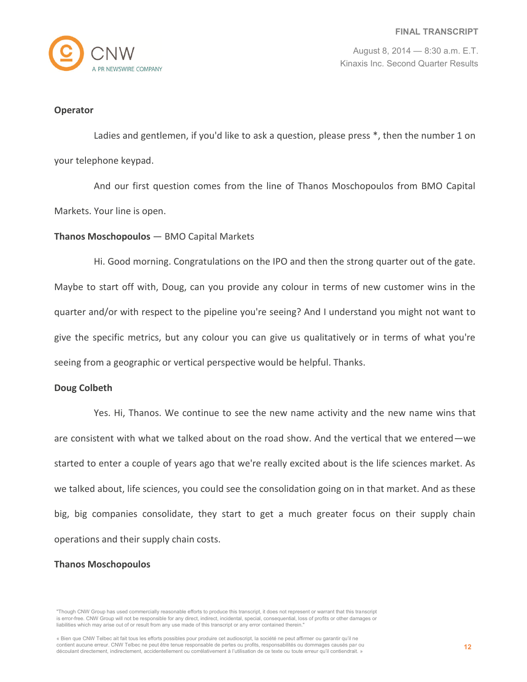

#### **Operator**

Ladies and gentlemen, if you'd like to ask a question, please press \*, then the number 1 on your telephone keypad.

And our first question comes from the line of Thanos Moschopoulos from BMO Capital Markets. Your line is open.

# **Thanos Moschopoulos** — BMO Capital Markets

Hi. Good morning. Congratulations on the IPO and then the strong quarter out of the gate. Maybe to start off with, Doug, can you provide any colour in terms of new customer wins in the quarter and/or with respect to the pipeline you're seeing? And I understand you might not want to give the specific metrics, but any colour you can give us qualitatively or in terms of what you're seeing from a geographic or vertical perspective would be helpful. Thanks.

# **Doug Colbeth**

Yes. Hi, Thanos. We continue to see the new name activity and the new name wins that are consistent with what we talked about on the road show. And the vertical that we entered—we started to enter a couple of years ago that we're really excited about is the life sciences market. As we talked about, life sciences, you could see the consolidation going on in that market. And as these big, big companies consolidate, they start to get a much greater focus on their supply chain operations and their supply chain costs.

# **Thanos Moschopoulos**

<sup>&</sup>quot;Though CNW Group has used commercially reasonable efforts to produce this transcript, it does not represent or warrant that this transcript is error-free. CNW Group will not be responsible for any direct, indirect, incidental, special, consequential, loss of profits or other damages or liabilities which may arise out of or result from any use made of this transcript or any error contained therein."

<sup>«</sup> Bien que CNW Telbec ait fait tous les efforts possibles pour produire cet audioscript, la société ne peut affirmer ou garantir qu'il ne contient aucune erreur. CNW Telbec ne peut être tenue responsable de pertes ou profits, responsabilités ou dommages causés par ou découlant directement, indirectement, accidentellement ou corrélativement à l'utilisation de ce texte ou toute erreur qu'il contiendrait. »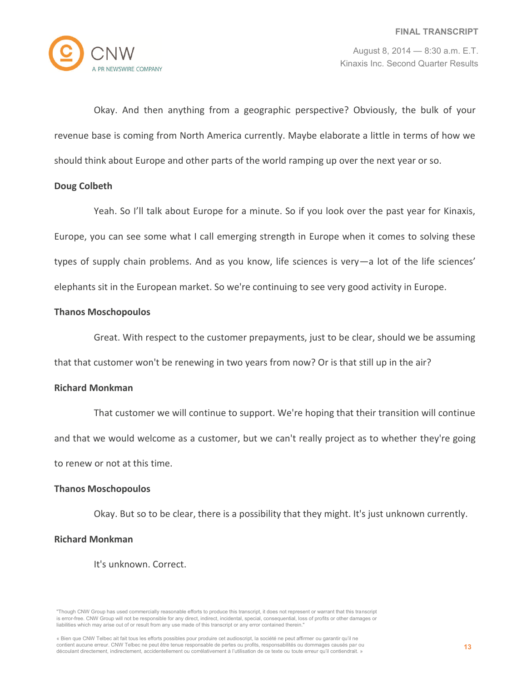

Okay. And then anything from a geographic perspective? Obviously, the bulk of your revenue base is coming from North America currently. Maybe elaborate a little in terms of how we should think about Europe and other parts of the world ramping up over the next year or so.

# **Doug Colbeth**

Yeah. So I'll talk about Europe for a minute. So if you look over the past year for Kinaxis, Europe, you can see some what I call emerging strength in Europe when it comes to solving these types of supply chain problems. And as you know, life sciences is very—a lot of the life sciences' elephants sit in the European market. So we're continuing to see very good activity in Europe.

#### **Thanos Moschopoulos**

Great. With respect to the customer prepayments, just to be clear, should we be assuming that that customer won't be renewing in two years from now? Or is that still up in the air?

#### **Richard Monkman**

That customer we will continue to support. We're hoping that their transition will continue and that we would welcome as a customer, but we can't really project as to whether they're going to renew or not at this time.

# **Thanos Moschopoulos**

Okay. But so to be clear, there is a possibility that they might. It's just unknown currently.

# **Richard Monkman**

It's unknown. Correct.

<sup>&</sup>quot;Though CNW Group has used commercially reasonable efforts to produce this transcript, it does not represent or warrant that this transcript is error-free. CNW Group will not be responsible for any direct, indirect, incidental, special, consequential, loss of profits or other damages or liabilities which may arise out of or result from any use made of this transcript or any error contained therein."

<sup>«</sup> Bien que CNW Telbec ait fait tous les efforts possibles pour produire cet audioscript, la société ne peut affirmer ou garantir qu'il ne contient aucune erreur. CNW Telbec ne peut être tenue responsable de pertes ou profits, responsabilités ou dommages causés par ou découlant directement, indirectement, accidentellement ou corrélativement à l'utilisation de ce texte ou toute erreur qu'il contiendrait. »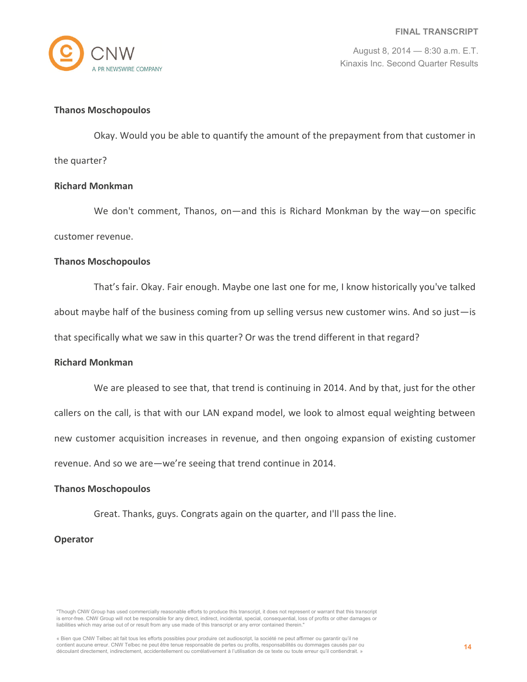

#### **Thanos Moschopoulos**

Okay. Would you be able to quantify the amount of the prepayment from that customer in the quarter?

#### **Richard Monkman**

We don't comment, Thanos, on—and this is Richard Monkman by the way—on specific customer revenue.

#### **Thanos Moschopoulos**

That's fair. Okay. Fair enough. Maybe one last one for me, I know historically you've talked about maybe half of the business coming from up selling versus new customer wins. And so just—is that specifically what we saw in this quarter? Or was the trend different in that regard?

#### **Richard Monkman**

We are pleased to see that, that trend is continuing in 2014. And by that, just for the other

callers on the call, is that with our LAN expand model, we look to almost equal weighting between

new customer acquisition increases in revenue, and then ongoing expansion of existing customer

revenue. And so we are—we're seeing that trend continue in 2014.

#### **Thanos Moschopoulos**

Great. Thanks, guys. Congrats again on the quarter, and I'll pass the line.

# **Operator**

"Though CNW Group has used commercially reasonable efforts to produce this transcript, it does not represent or warrant that this transcript is error-free. CNW Group will not be responsible for any direct, indirect, incidental, special, consequential, loss of profits or other damages or liabilities which may arise out of or result from any use made of this transcript or any error contained therein."

« Bien que CNW Telbec ait fait tous les efforts possibles pour produire cet audioscript, la société ne peut affirmer ou garantir qu'il ne contient aucune erreur. CNW Telbec ne peut être tenue responsable de pertes ou profits, responsabilités ou dommages causés par ou découlant directement, indirectement, accidentellement ou corrélativement à l'utilisation de ce texte ou toute erreur qu'il contiendrait. »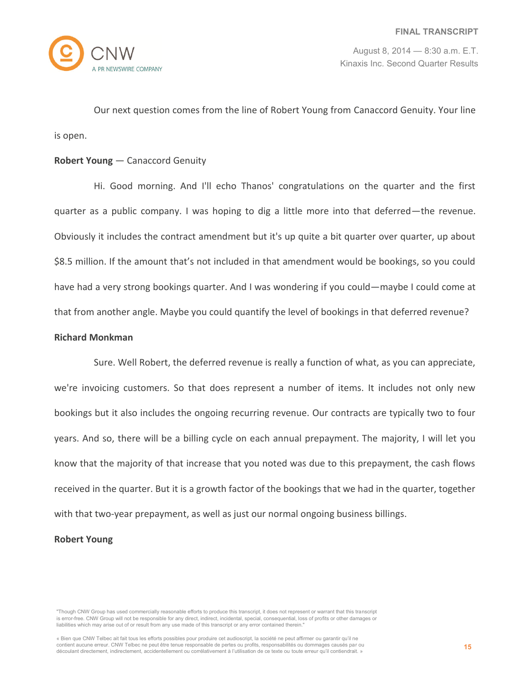

Our next question comes from the line of Robert Young from Canaccord Genuity. Your line is open.

# **Robert Young** — Canaccord Genuity

Hi. Good morning. And I'll echo Thanos' congratulations on the quarter and the first quarter as a public company. I was hoping to dig a little more into that deferred—the revenue. Obviously it includes the contract amendment but it's up quite a bit quarter over quarter, up about \$8.5 million. If the amount that's not included in that amendment would be bookings, so you could have had a very strong bookings quarter. And I was wondering if you could—maybe I could come at that from another angle. Maybe you could quantify the level of bookings in that deferred revenue?

# **Richard Monkman**

Sure. Well Robert, the deferred revenue is really a function of what, as you can appreciate, we're invoicing customers. So that does represent a number of items. It includes not only new bookings but it also includes the ongoing recurring revenue. Our contracts are typically two to four years. And so, there will be a billing cycle on each annual prepayment. The majority, I will let you know that the majority of that increase that you noted was due to this prepayment, the cash flows received in the quarter. But it is a growth factor of the bookings that we had in the quarter, together with that two-year prepayment, as well as just our normal ongoing business billings.

# **Robert Young**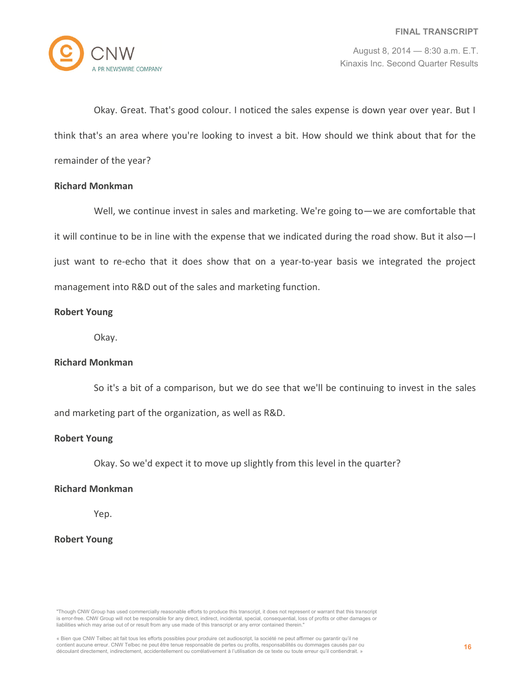

Okay. Great. That's good colour. I noticed the sales expense is down year over year. But I think that's an area where you're looking to invest a bit. How should we think about that for the remainder of the year?

# **Richard Monkman**

Well, we continue invest in sales and marketing. We're going to—we are comfortable that it will continue to be in line with the expense that we indicated during the road show. But it also—I just want to re-echo that it does show that on a year-to-year basis we integrated the project management into R&D out of the sales and marketing function.

# **Robert Young**

Okay.

# **Richard Monkman**

So it's a bit of a comparison, but we do see that we'll be continuing to invest in the sales and marketing part of the organization, as well as R&D.

# **Robert Young**

Okay. So we'd expect it to move up slightly from this level in the quarter?

# **Richard Monkman**

Yep.

# **Robert Young**

"Though CNW Group has used commercially reasonable efforts to produce this transcript, it does not represent or warrant that this transcript is error-free. CNW Group will not be responsible for any direct, indirect, incidental, special, consequential, loss of profits or other damages or liabilities which may arise out of or result from any use made of this transcript or any error contained therein."

« Bien que CNW Telbec ait fait tous les efforts possibles pour produire cet audioscript, la société ne peut affirmer ou garantir qu'il ne contient aucune erreur. CNW Telbec ne peut être tenue responsable de pertes ou profits, responsabilités ou dommages causés par ou découlant directement, indirectement, accidentellement ou corrélativement à l'utilisation de ce texte ou toute erreur qu'il contiendrait. »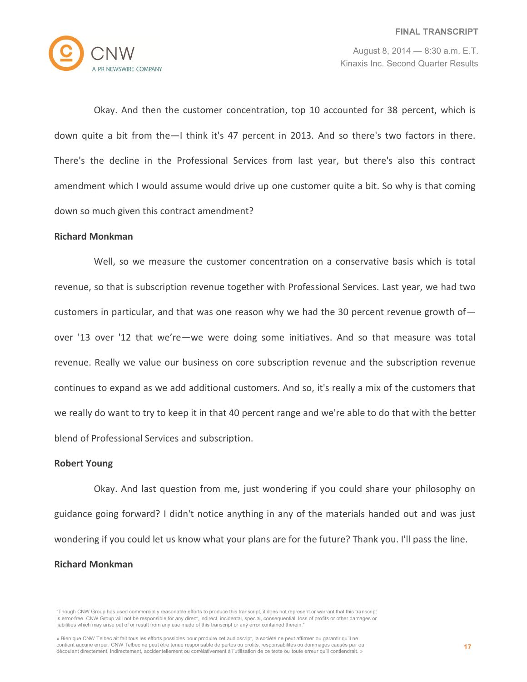

Okay. And then the customer concentration, top 10 accounted for 38 percent, which is down quite a bit from the—I think it's 47 percent in 2013. And so there's two factors in there. There's the decline in the Professional Services from last year, but there's also this contract amendment which I would assume would drive up one customer quite a bit. So why is that coming down so much given this contract amendment?

#### **Richard Monkman**

Well, so we measure the customer concentration on a conservative basis which is total revenue, so that is subscription revenue together with Professional Services. Last year, we had two customers in particular, and that was one reason why we had the 30 percent revenue growth of  $$ over '13 over '12 that we're—we were doing some initiatives. And so that measure was total revenue. Really we value our business on core subscription revenue and the subscription revenue continues to expand as we add additional customers. And so, it's really a mix of the customers that we really do want to try to keep it in that 40 percent range and we're able to do that with the better blend of Professional Services and subscription.

# **Robert Young**

Okay. And last question from me, just wondering if you could share your philosophy on guidance going forward? I didn't notice anything in any of the materials handed out and was just wondering if you could let us know what your plans are for the future? Thank you. I'll pass the line.

#### **Richard Monkman**

<sup>&</sup>quot;Though CNW Group has used commercially reasonable efforts to produce this transcript, it does not represent or warrant that this transcript is error-free. CNW Group will not be responsible for any direct, indirect, incidental, special, consequential, loss of profits or other damages or liabilities which may arise out of or result from any use made of this transcript or any error contained therein."

<sup>«</sup> Bien que CNW Telbec ait fait tous les efforts possibles pour produire cet audioscript, la société ne peut affirmer ou garantir qu'il ne contient aucune erreur. CNW Telbec ne peut être tenue responsable de pertes ou profits, responsabilités ou dommages causés par ou découlant directement, indirectement, accidentellement ou corrélativement à l'utilisation de ce texte ou toute erreur qu'il contiendrait. »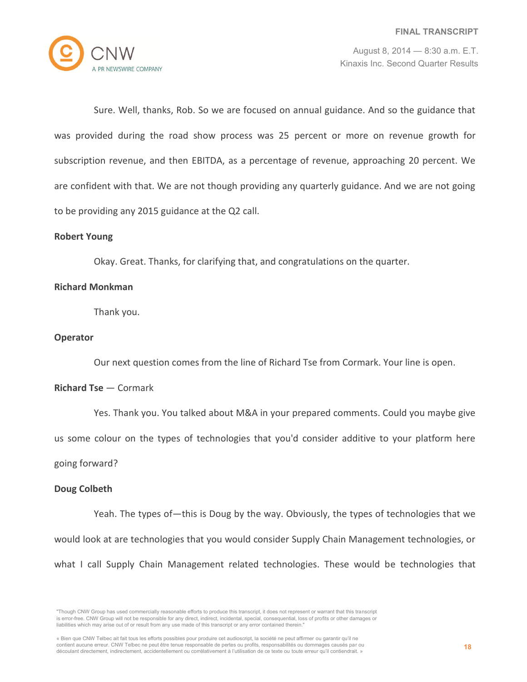

Sure. Well, thanks, Rob. So we are focused on annual guidance. And so the guidance that was provided during the road show process was 25 percent or more on revenue growth for subscription revenue, and then EBITDA, as a percentage of revenue, approaching 20 percent. We are confident with that. We are not though providing any quarterly guidance. And we are not going to be providing any 2015 guidance at the Q2 call.

# **Robert Young**

Okay. Great. Thanks, for clarifying that, and congratulations on the quarter.

#### **Richard Monkman**

Thank you.

# **Operator**

Our next question comes from the line of Richard Tse from Cormark. Your line is open.

#### **Richard Tse** — Cormark

Yes. Thank you. You talked about M&A in your prepared comments. Could you maybe give us some colour on the types of technologies that you'd consider additive to your platform here

# going forward?

# **Doug Colbeth**

Yeah. The types of—this is Doug by the way. Obviously, the types of technologies that we would look at are technologies that you would consider Supply Chain Management technologies, or what I call Supply Chain Management related technologies. These would be technologies that

<sup>&</sup>quot;Though CNW Group has used commercially reasonable efforts to produce this transcript, it does not represent or warrant that this transcript is error-free. CNW Group will not be responsible for any direct, indirect, incidental, special, consequential, loss of profits or other damages or liabilities which may arise out of or result from any use made of this transcript or any error contained therein."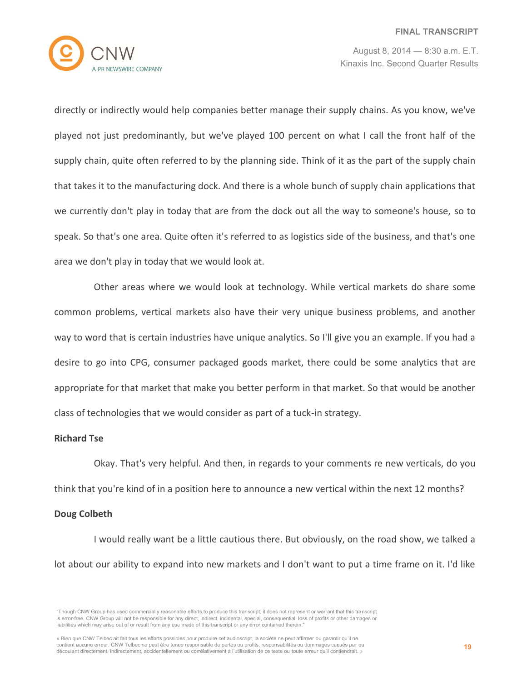

directly or indirectly would help companies better manage their supply chains. As you know, we've played not just predominantly, but we've played 100 percent on what I call the front half of the supply chain, quite often referred to by the planning side. Think of it as the part of the supply chain that takes it to the manufacturing dock. And there is a whole bunch of supply chain applications that we currently don't play in today that are from the dock out all the way to someone's house, so to speak. So that's one area. Quite often it's referred to as logistics side of the business, and that's one area we don't play in today that we would look at.

Other areas where we would look at technology. While vertical markets do share some common problems, vertical markets also have their very unique business problems, and another way to word that is certain industries have unique analytics. So I'll give you an example. If you had a desire to go into CPG, consumer packaged goods market, there could be some analytics that are appropriate for that market that make you better perform in that market. So that would be another class of technologies that we would consider as part of a tuck-in strategy.

#### **Richard Tse**

Okay. That's very helpful. And then, in regards to your comments re new verticals, do you think that you're kind of in a position here to announce a new vertical within the next 12 months?

# **Doug Colbeth**

I would really want be a little cautious there. But obviously, on the road show, we talked a lot about our ability to expand into new markets and I don't want to put a time frame on it. I'd like

<sup>&</sup>quot;Though CNW Group has used commercially reasonable efforts to produce this transcript, it does not represent or warrant that this transcript is error-free. CNW Group will not be responsible for any direct, indirect, incidental, special, consequential, loss of profits or other damages or liabilities which may arise out of or result from any use made of this transcript or any error contained therein."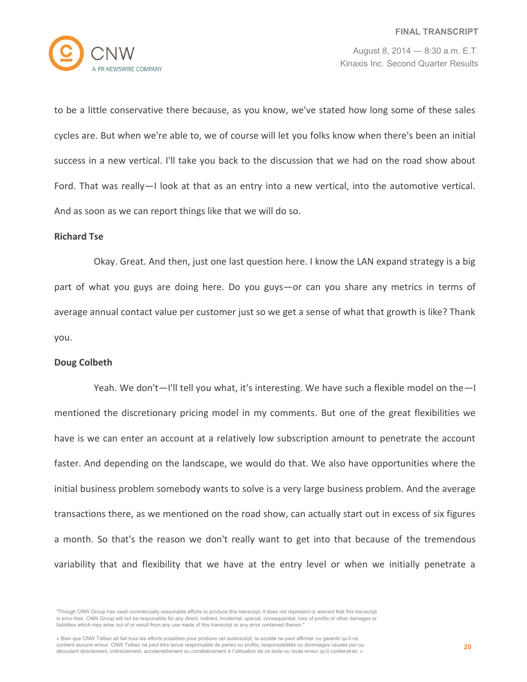

to be a little conservative there because, as you know, we've stated how long some of these sales cycles are. But when we're able to, we of course will let you folks know when there's been an initial success in a new vertical. I'll take you back to the discussion that we had on the road show about Ford. That was really—I look at that as an entry into a new vertical, into the automotive vertical. And as soon as we can report things like that we will do so.

# **Richard Tse**

Okay. Great. And then, just one last question here. I know the LAN expand strategy is a big part of what you guys are doing here. Do you guys—or can you share any metrics in terms of average annual contact value per customer just so we get a sense of what that growth is like? Thank you.

#### **Doug Colbeth**

Yeah. We don't—I'll tell you what, it's interesting. We have such a flexible model on the—I mentioned the discretionary pricing model in my comments. But one of the great flexibilities we have is we can enter an account at a relatively low subscription amount to penetrate the account faster. And depending on the landscape, we would do that. We also have opportunities where the initial business problem somebody wants to solve is a very large business problem. And the average transactions there, as we mentioned on the road show, can actually start out in excess of six figures a month. So that's the reason we don't really want to get into that because of the tremendous variability that and flexibility that we have at the entry level or when we initially penetrate a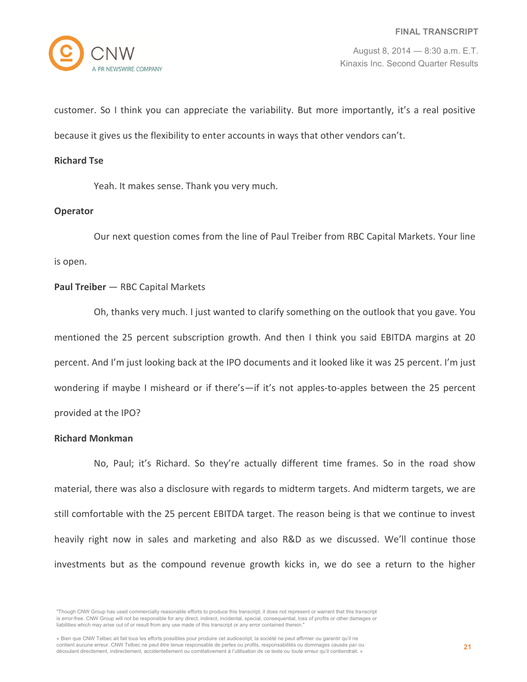

customer. So I think you can appreciate the variability. But more importantly, it's a real positive because it gives us the flexibility to enter accounts in ways that other vendors can't.

#### **Richard Tse**

Yeah. It makes sense. Thank you very much.

# **Operator**

Our next question comes from the line of Paul Treiber from RBC Capital Markets. Your line is open.

# **Paul Treiber** — RBC Capital Markets

Oh, thanks very much. I just wanted to clarify something on the outlook that you gave. You mentioned the 25 percent subscription growth. And then I think you said EBITDA margins at 20 percent. And I'm just looking back at the IPO documents and it looked like it was 25 percent. I'm just wondering if maybe I misheard or if there's—if it's not apples-to-apples between the 25 percent provided at the IPO?

#### **Richard Monkman**

No, Paul; it's Richard. So they're actually different time frames. So in the road show material, there was also a disclosure with regards to midterm targets. And midterm targets, we are still comfortable with the 25 percent EBITDA target. The reason being is that we continue to invest heavily right now in sales and marketing and also R&D as we discussed. We'll continue those investments but as the compound revenue growth kicks in, we do see a return to the higher

<sup>&</sup>quot;Though CNW Group has used commercially reasonable efforts to produce this transcript, it does not represent or warrant that this transcript is error-free. CNW Group will not be responsible for any direct, indirect, incidental, special, consequential, loss of profits or other damages or liabilities which may arise out of or result from any use made of this transcript or any error contained therein."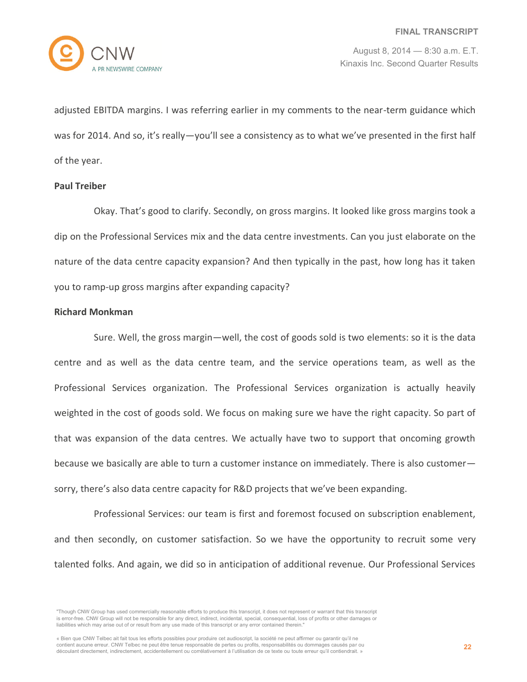

adjusted EBITDA margins. I was referring earlier in my comments to the near-term guidance which was for 2014. And so, it's really—you'll see a consistency as to what we've presented in the first half of the year.

#### **Paul Treiber**

Okay. That's good to clarify. Secondly, on gross margins. It looked like gross margins took a dip on the Professional Services mix and the data centre investments. Can you just elaborate on the nature of the data centre capacity expansion? And then typically in the past, how long has it taken you to ramp-up gross margins after expanding capacity?

# **Richard Monkman**

Sure. Well, the gross margin—well, the cost of goods sold is two elements: so it is the data centre and as well as the data centre team, and the service operations team, as well as the Professional Services organization. The Professional Services organization is actually heavily weighted in the cost of goods sold. We focus on making sure we have the right capacity. So part of that was expansion of the data centres. We actually have two to support that oncoming growth because we basically are able to turn a customer instance on immediately. There is also customer sorry, there's also data centre capacity for R&D projects that we've been expanding.

Professional Services: our team is first and foremost focused on subscription enablement, and then secondly, on customer satisfaction. So we have the opportunity to recruit some very talented folks. And again, we did so in anticipation of additional revenue. Our Professional Services

<sup>&</sup>quot;Though CNW Group has used commercially reasonable efforts to produce this transcript, it does not represent or warrant that this transcript is error-free. CNW Group will not be responsible for any direct, indirect, incidental, special, consequential, loss of profits or other damages or liabilities which may arise out of or result from any use made of this transcript or any error contained therein."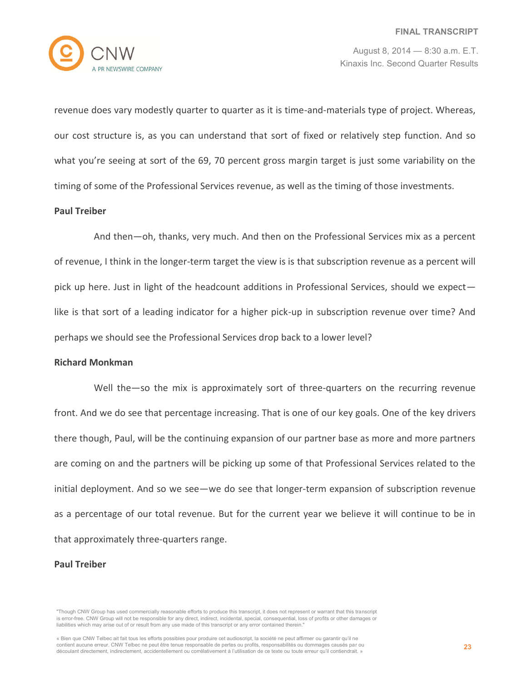

revenue does vary modestly quarter to quarter as it is time-and-materials type of project. Whereas, our cost structure is, as you can understand that sort of fixed or relatively step function. And so what you're seeing at sort of the 69, 70 percent gross margin target is just some variability on the timing of some of the Professional Services revenue, as well as the timing of those investments.

#### **Paul Treiber**

And then—oh, thanks, very much. And then on the Professional Services mix as a percent of revenue, I think in the longer-term target the view is is that subscription revenue as a percent will pick up here. Just in light of the headcount additions in Professional Services, should we expect like is that sort of a leading indicator for a higher pick-up in subscription revenue over time? And perhaps we should see the Professional Services drop back to a lower level?

#### **Richard Monkman**

Well the—so the mix is approximately sort of three-quarters on the recurring revenue front. And we do see that percentage increasing. That is one of our key goals. One of the key drivers there though, Paul, will be the continuing expansion of our partner base as more and more partners are coming on and the partners will be picking up some of that Professional Services related to the initial deployment. And so we see—we do see that longer-term expansion of subscription revenue as a percentage of our total revenue. But for the current year we believe it will continue to be in that approximately three-quarters range.

#### **Paul Treiber**

<sup>&</sup>quot;Though CNW Group has used commercially reasonable efforts to produce this transcript, it does not represent or warrant that this transcript is error-free. CNW Group will not be responsible for any direct, indirect, incidental, special, consequential, loss of profits or other damages or liabilities which may arise out of or result from any use made of this transcript or any error contained therein."

<sup>«</sup> Bien que CNW Telbec ait fait tous les efforts possibles pour produire cet audioscript, la société ne peut affirmer ou garantir qu'il ne contient aucune erreur. CNW Telbec ne peut être tenue responsable de pertes ou profits, responsabilités ou dommages causés par ou découlant directement, indirectement, accidentellement ou corrélativement à l'utilisation de ce texte ou toute erreur qu'il contiendrait. »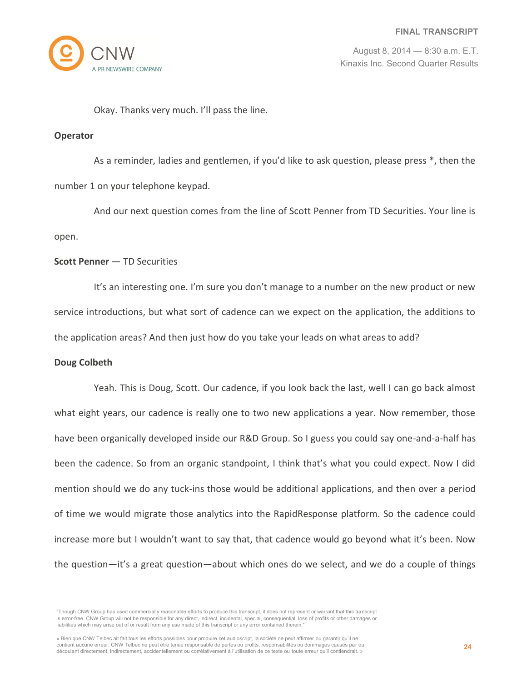

Okay. Thanks very much. I'll pass the line.

#### **Operator**

As a reminder, ladies and gentlemen, if you'd like to ask question, please press \*, then the number 1 on your telephone keypad.

And our next question comes from the line of Scott Penner from TD Securities. Your line is open.

# **Scott Penner** — TD Securities

It's an interesting one. I'm sure you don't manage to a number on the new product or new service introductions, but what sort of cadence can we expect on the application, the additions to the application areas? And then just how do you take your leads on what areas to add?

# **Doug Colbeth**

Yeah. This is Doug, Scott. Our cadence, if you look back the last, well I can go back almost what eight years, our cadence is really one to two new applications a year. Now remember, those have been organically developed inside our R&D Group. So I guess you could say one-and-a-half has been the cadence. So from an organic standpoint, I think that's what you could expect. Now I did mention should we do any tuck-ins those would be additional applications, and then over a period of time we would migrate those analytics into the RapidResponse platform. So the cadence could increase more but I wouldn't want to say that, that cadence would go beyond what it's been. Now the question—it's a great question—about which ones do we select, and we do a couple of things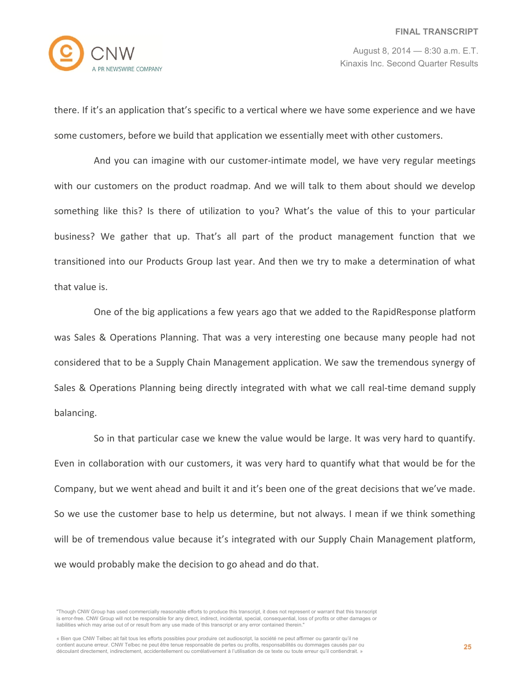

there. If it's an application that's specific to a vertical where we have some experience and we have some customers, before we build that application we essentially meet with other customers.

And you can imagine with our customer-intimate model, we have very regular meetings with our customers on the product roadmap. And we will talk to them about should we develop something like this? Is there of utilization to you? What's the value of this to your particular business? We gather that up. That's all part of the product management function that we transitioned into our Products Group last year. And then we try to make a determination of what that value is.

One of the big applications a few years ago that we added to the RapidResponse platform was Sales & Operations Planning. That was a very interesting one because many people had not considered that to be a Supply Chain Management application. We saw the tremendous synergy of Sales & Operations Planning being directly integrated with what we call real-time demand supply balancing.

So in that particular case we knew the value would be large. It was very hard to quantify. Even in collaboration with our customers, it was very hard to quantify what that would be for the Company, but we went ahead and built it and it's been one of the great decisions that we've made. So we use the customer base to help us determine, but not always. I mean if we think something will be of tremendous value because it's integrated with our Supply Chain Management platform, we would probably make the decision to go ahead and do that.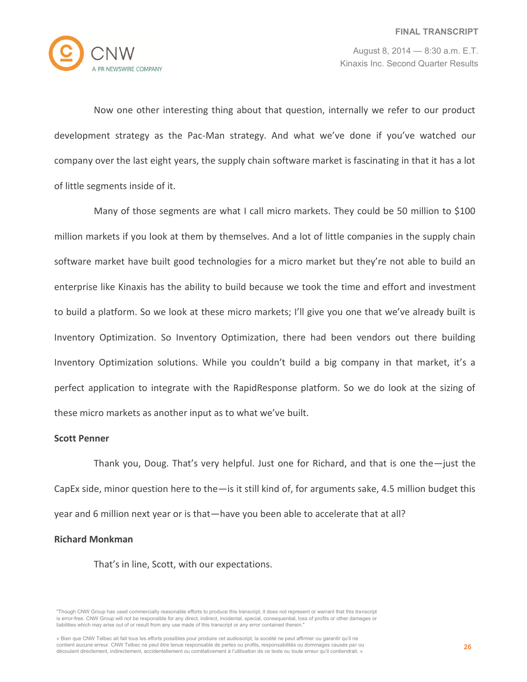

Now one other interesting thing about that question, internally we refer to our product development strategy as the Pac-Man strategy. And what we've done if you've watched our company over the last eight years, the supply chain software market is fascinating in that it has a lot of little segments inside of it.

Many of those segments are what I call micro markets. They could be 50 million to \$100 million markets if you look at them by themselves. And a lot of little companies in the supply chain software market have built good technologies for a micro market but they're not able to build an enterprise like Kinaxis has the ability to build because we took the time and effort and investment to build a platform. So we look at these micro markets; I'll give you one that we've already built is Inventory Optimization. So Inventory Optimization, there had been vendors out there building Inventory Optimization solutions. While you couldn't build a big company in that market, it's a perfect application to integrate with the RapidResponse platform. So we do look at the sizing of these micro markets as another input as to what we've built.

#### **Scott Penner**

Thank you, Doug. That's very helpful. Just one for Richard, and that is one the—just the CapEx side, minor question here to the—is it still kind of, for arguments sake, 4.5 million budget this year and 6 million next year or is that—have you been able to accelerate that at all?

# **Richard Monkman**

That's in line, Scott, with our expectations.

<sup>&</sup>quot;Though CNW Group has used commercially reasonable efforts to produce this transcript, it does not represent or warrant that this transcript is error-free. CNW Group will not be responsible for any direct, indirect, incidental, special, consequential, loss of profits or other damages or liabilities which may arise out of or result from any use made of this transcript or any error contained therein."

<sup>«</sup> Bien que CNW Telbec ait fait tous les efforts possibles pour produire cet audioscript, la société ne peut affirmer ou garantir qu'il ne contient aucune erreur. CNW Telbec ne peut être tenue responsable de pertes ou profits, responsabilités ou dommages causés par ou découlant directement, indirectement, accidentellement ou corrélativement à l'utilisation de ce texte ou toute erreur qu'il contiendrait. »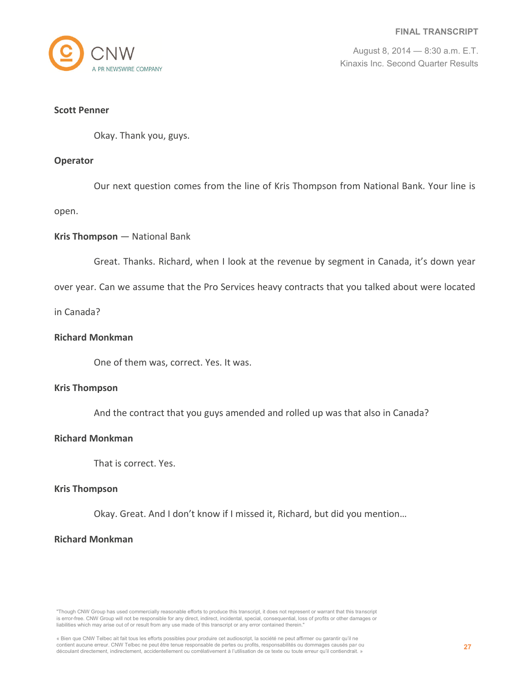

#### **Scott Penner**

Okay. Thank you, guys.

#### **Operator**

Our next question comes from the line of Kris Thompson from National Bank. Your line is

open.

# **Kris Thompson** — National Bank

Great. Thanks. Richard, when I look at the revenue by segment in Canada, it's down year

over year. Can we assume that the Pro Services heavy contracts that you talked about were located

in Canada?

# **Richard Monkman**

One of them was, correct. Yes. It was.

#### **Kris Thompson**

And the contract that you guys amended and rolled up was that also in Canada?

#### **Richard Monkman**

That is correct. Yes.

#### **Kris Thompson**

Okay. Great. And I don't know if I missed it, Richard, but did you mention…

# **Richard Monkman**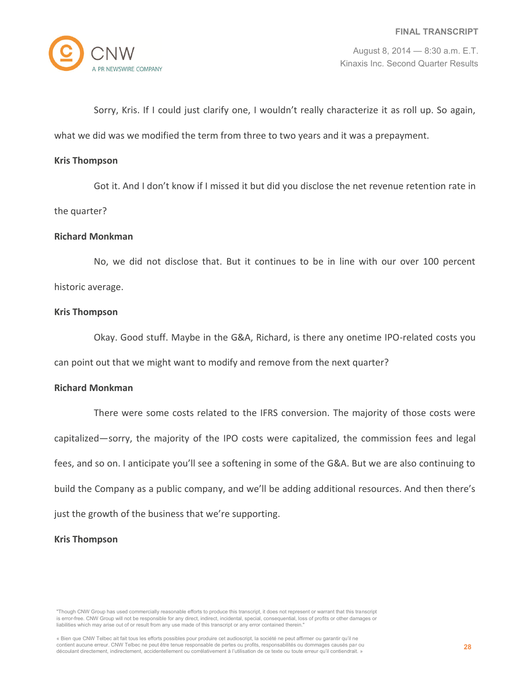

Sorry, Kris. If I could just clarify one, I wouldn't really characterize it as roll up. So again, what we did was we modified the term from three to two years and it was a prepayment.

#### **Kris Thompson**

Got it. And I don't know if I missed it but did you disclose the net revenue retention rate in

the quarter?

#### **Richard Monkman**

No, we did not disclose that. But it continues to be in line with our over 100 percent historic average.

#### **Kris Thompson**

Okay. Good stuff. Maybe in the G&A, Richard, is there any onetime IPO-related costs you can point out that we might want to modify and remove from the next quarter?

#### **Richard Monkman**

There were some costs related to the IFRS conversion. The majority of those costs were capitalized—sorry, the majority of the IPO costs were capitalized, the commission fees and legal fees, and so on. I anticipate you'll see a softening in some of the G&A. But we are also continuing to build the Company as a public company, and we'll be adding additional resources. And then there's just the growth of the business that we're supporting.

# **Kris Thompson**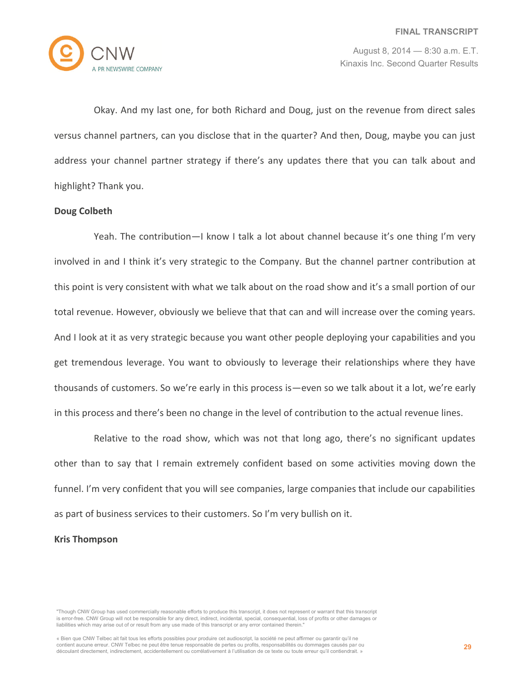

Okay. And my last one, for both Richard and Doug, just on the revenue from direct sales versus channel partners, can you disclose that in the quarter? And then, Doug, maybe you can just address your channel partner strategy if there's any updates there that you can talk about and highlight? Thank you.

# **Doug Colbeth**

Yeah. The contribution—I know I talk a lot about channel because it's one thing I'm very involved in and I think it's very strategic to the Company. But the channel partner contribution at this point is very consistent with what we talk about on the road show and it's a small portion of our total revenue. However, obviously we believe that that can and will increase over the coming years. And I look at it as very strategic because you want other people deploying your capabilities and you get tremendous leverage. You want to obviously to leverage their relationships where they have thousands of customers. So we're early in this process is—even so we talk about it a lot, we're early in this process and there's been no change in the level of contribution to the actual revenue lines.

Relative to the road show, which was not that long ago, there's no significant updates other than to say that I remain extremely confident based on some activities moving down the funnel. I'm very confident that you will see companies, large companies that include our capabilities as part of business services to their customers. So I'm very bullish on it.

# **Kris Thompson**

<sup>&</sup>quot;Though CNW Group has used commercially reasonable efforts to produce this transcript, it does not represent or warrant that this transcript is error-free. CNW Group will not be responsible for any direct, indirect, incidental, special, consequential, loss of profits or other damages or liabilities which may arise out of or result from any use made of this transcript or any error contained therein."